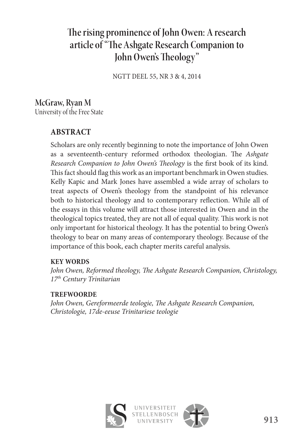# The rising prominence of John Owen: A research article of "The Ashgate Research Companion to John Owen's Theology"

NGTT DEEL 55, NR 3 & 4, 2014

## **McGraw, Ryan M**  University of the Free State

## **ABSTRACT**

Scholars are only recently beginning to note the importance of John Owen as a seventeenth-century reformed orthodox theologian. The *Ashgate Research Companion to John Owen's Theology* is the first book of its kind. This fact should flag this work as an important benchmark in Owen studies. Kelly Kapic and Mark Jones have assembled a wide array of scholars to treat aspects of Owen's theology from the standpoint of his relevance both to historical theology and to contemporary reflection. While all of the essays in this volume will attract those interested in Owen and in the theological topics treated, they are not all of equal quality. This work is not only important for historical theology. It has the potential to bring Owen's theology to bear on many areas of contemporary theology. Because of the importance of this book, each chapter merits careful analysis.

#### **KEY WORDS**

*John Owen, Reformed theology, The Ashgate Research Companion, Christology, 17th Century Trinitarian*

#### **TREFWOORDE**

*John Owen, Gereformeerde teologie, The Ashgate Research Companion, Christologie, 17de-eeuse Trinitariese teologie*

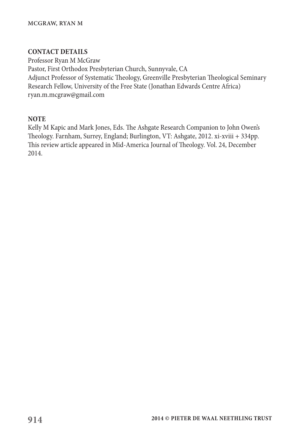#### **CONTACT DETAILS**

Professor Ryan M McGraw Pastor, First Orthodox Presbyterian Church, Sunnyvale, CA Adjunct Professor of Systematic Theology, Greenville Presbyterian Theological Seminary Research Fellow, University of the Free State (Jonathan Edwards Centre Africa) ryan.m.mcgraw@gmail.com

#### **NOTE**

Kelly M Kapic and Mark Jones, Eds. The Ashgate Research Companion to John Owen's Theology. Farnham, Surrey, England; Burlington, VT: Ashgate, 2012. xi-xviii + 334pp. This review article appeared in Mid-America Journal of Theology. Vol. 24, December 2014.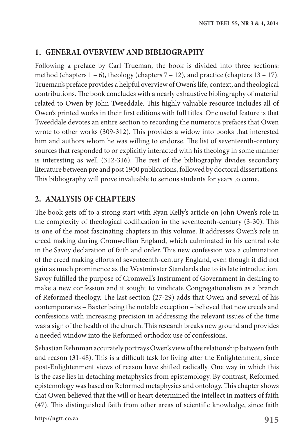## **1. GENERAL OVERVIEW AND BIBLIOGRAPHY**

Following a preface by Carl Trueman, the book is divided into three sections: method (chapters  $1 - 6$ ), theology (chapters  $7 - 12$ ), and practice (chapters  $13 - 17$ ). Trueman's preface provides a helpful overview of Owen's life, context, and theological contributions. The book concludes with a nearly exhaustive bibliography of material related to Owen by John Tweeddale. This highly valuable resource includes all of Owen's printed works in their first editions with full titles. One useful feature is that Tweeddale devotes an entire section to recording the numerous prefaces that Owen wrote to other works (309-312). This provides a widow into books that interested him and authors whom he was willing to endorse. The list of seventeenth-century sources that responded to or explicitly interacted with his theology in some manner is interesting as well (312-316). The rest of the bibliography divides secondary literature between pre and post 1900 publications, followed by doctoral dissertations. This bibliography will prove invaluable to serious students for years to come.

## **2. ANALYSIS OF CHAPTERS**

The book gets off to a strong start with Ryan Kelly's article on John Owen's role in the complexity of theological codification in the seventeenth-century (3-30). This is one of the most fascinating chapters in this volume. It addresses Owen's role in creed making during Cromwellian England, which culminated in his central role in the Savoy declaration of faith and order. This new confession was a culmination of the creed making efforts of seventeenth-century England, even though it did not gain as much prominence as the Westminster Standards due to its late introduction. Savoy fulfilled the purpose of Cromwell's Instrument of Government in desiring to make a new confession and it sought to vindicate Congregationalism as a branch of Reformed theology. The last section (27-29) adds that Owen and several of his contemporaries – Baxter being the notable exception – believed that new creeds and confessions with increasing precision in addressing the relevant issues of the time was a sign of the health of the church. This research breaks new ground and provides a needed window into the Reformed orthodox use of confessions.

Sebastian Rehnman accurately portrays Owen's view of the relationship between faith and reason (31-48). This is a difficult task for living after the Enlightenment, since post-Enlightenment views of reason have shifted radically. One way in which this is the case lies in detaching metaphysics from epistemology. By contrast, Reformed epistemology was based on Reformed metaphysics and ontology. This chapter shows that Owen believed that the will or heart determined the intellect in matters of faith (47). This distinguished faith from other areas of scientific knowledge, since faith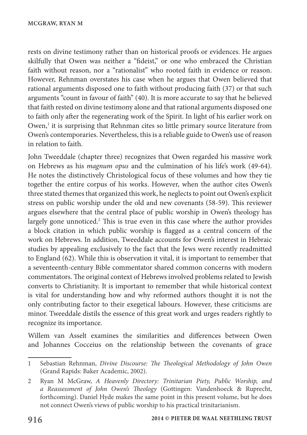rests on divine testimony rather than on historical proofs or evidences. He argues skilfully that Owen was neither a "fideist," or one who embraced the Christian faith without reason, nor a "rationalist" who rooted faith in evidence or reason. However, Rehnman overstates his case when he argues that Owen believed that rational arguments disposed one to faith without producing faith (37) or that such arguments "count in favour of faith" (40). It is more accurate to say that he believed that faith rested on divine testimony alone and that rational arguments disposed one to faith only after the regenerating work of the Spirit. In light of his earlier work on Owen,<sup>1</sup> it is surprising that Rehnman cites so little primary source literature from Owen's contemporaries. Nevertheless, this is a reliable guide to Owen's use of reason in relation to faith.

John Tweeddale (chapter three) recognizes that Owen regarded his massive work on Hebrews as his *magnum opus* and the culmination of his life's work (49-64). He notes the distinctively Christological focus of these volumes and how they tie together the entire corpus of his works. However, when the author cites Owen's three stated themes that organized this work, he neglects to point out Owen's explicit stress on public worship under the old and new covenants (58-59). This reviewer argues elsewhere that the central place of public worship in Owen's theology has largely gone unnoticed.<sup>2</sup> This is true even in this case where the author provides a block citation in which public worship is flagged as a central concern of the work on Hebrews. In addition, Tweeddale accounts for Owen's interest in Hebraic studies by appealing exclusively to the fact that the Jews were recently readmitted to England (62). While this is observation it vital, it is important to remember that a seventeenth-century Bible commentator shared common concerns with modern commentators. The original context of Hebrews involved problems related to Jewish converts to Christianity. It is important to remember that while historical context is vital for understanding how and why reformed authors thought it is not the only contributing factor to their exegetical labours. However, these criticisms are minor. Tweeddale distils the essence of this great work and urges readers rightly to recognize its importance.

Willem van Asselt examines the similarities and differences between Owen and Johannes Cocceius on the relationship between the covenants of grace

<sup>1</sup> Sebastian Rehnman, *Divine Discourse: The Theological Methodology of John Owen* (Grand Rapids: Baker Academic, 2002).

<sup>2</sup> Ryan M McGraw, *A Heavenly Directory: Trinitarian Piety, Public Worship, and a Reassessment of John Owen's Theology* (Gottingen: Vandenhoeck & Ruprecht, forthcoming). Daniel Hyde makes the same point in this present volume, but he does not connect Owen's views of public worship to his practical trinitarianism.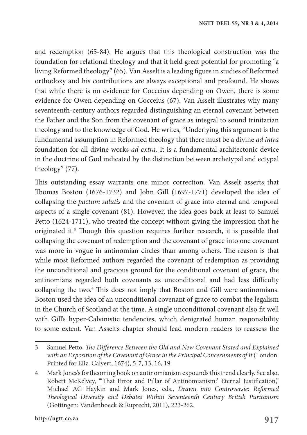and redemption (65-84). He argues that this theological construction was the foundation for relational theology and that it held great potential for promoting "a living Reformed theology" (65). Van Asselt is a leading figure in studies of Reformed orthodoxy and his contributions are always exceptional and profound. He shows that while there is no evidence for Cocceius depending on Owen, there is some evidence for Owen depending on Cocceius (67). Van Asselt illustrates why many seventeenth-century authors regarded distinguishing an eternal covenant between the Father and the Son from the covenant of grace as integral to sound trinitarian theology and to the knowledge of God. He writes, "Underlying this argument is the fundamental assumption in Reformed theology that there must be a divine *ad intra* foundation for all divine works *ad extra.* It is a fundamental architectonic device in the doctrine of God indicated by the distinction between archetypal and ectypal theology" (77).

This outstanding essay warrants one minor correction. Van Asselt asserts that Thomas Boston (1676-1732) and John Gill (1697-1771) developed the idea of collapsing the *pactum salutis* and the covenant of grace into eternal and temporal aspects of a single covenant (81). However, the idea goes back at least to Samuel Petto (1624-1711), who treated the concept without giving the impression that he originated it.<sup>3</sup> Though this question requires further research, it is possible that collapsing the covenant of redemption and the covenant of grace into one covenant was more in vogue in antinomian circles than among others. The reason is that while most Reformed authors regarded the covenant of redemption as providing the unconditional and gracious ground for the conditional covenant of grace, the antinomians regarded both covenants as unconditional and had less difficulty collapsing the two.<sup>4</sup> This does not imply that Boston and Gill were antinomians. Boston used the idea of an unconditional covenant of grace to combat the legalism in the Church of Scotland at the time. A single unconditional covenant also fit well with Gill's hyper-Calvinistic tendencies, which denigrated human responsibility to some extent. Van Asselt's chapter should lead modern readers to reassess the

<sup>3</sup> Samuel Petto, *The Difference Between the Old and New Covenant Stated and Explained with an Exposition of the Covenant of Grace in the Principal Concernments of It* (London: Printed for Eliz. Calvert, 1674), 5-7, 13, 16, 19.

<sup>4</sup> Mark Jones's forthcoming book on antinomianism expounds this trend clearly. See also, Robert McKelvey, "'That Error and Pillar of Antinomianism:' Eternal Justification," Michael AG Haykin and Mark Jones, eds., *Drawn into Controversie: Reformed Theological Diversity and Debates Within Seventeenth Century British Puritanism* (Gottingen: Vandenhoeck & Ruprecht, 2011), 223-262.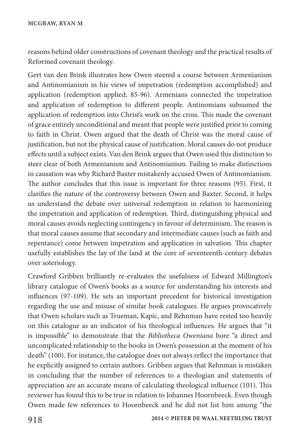reasons behind older constructions of covenant theology and the practical results of Reformed covenant theology.

Gert van den Brink illustrates how Owen steered a course between Armenianism and Antinomianism in his views of impetration (redemption accomplished) and application (redemption applied; 85-96). Armenians connected the impetration and application of redemption to different people. Antinomians subsumed the application of redemption into Christ's work on the cross. This made the covenant of grace entirely unconditional and meant that people were justified prior to coming to faith in Christ. Owen argued that the death of Christ was the moral cause of justification, but not the physical cause of justification. Moral causes do not produce effects until a subject exists. Van den Brink argues that Owen used this distinction to steer clear of both Armenianism and Antinomianism. Failing to make distinctions in causation was why Richard Baxter mistakenly accused Owen of Antinomianism. The author concludes that this issue is important for three reasons (95). First, it clarifies the nature of the controversy between Owen and Baxter. Second, it helps us understand the debate over universal redemption in relation to harmonizing the impetration and application of redemption. Third, distinguishing physical and moral causes avoids neglecting contingency in favour of determinism. The reason is that moral causes assume that secondary and intermediate causes (such as faith and repentance) come between impetration and application in salvation. This chapter usefully establishes the lay of the land at the core of seventeenth-century debates over soteriology.

Crawford Gribben brilliantly re-evaluates the usefulness of Edward Millington's library catalogue of Owen's books as a source for understanding his interests and influences (97-109). He sets an important precedent for historical investigation regarding the use and misuse of similar book catalogues. He argues provocatively that Owen scholars such as Trueman, Kapic, and Rehnman have rested too heavily on this catalogue as an indicator of his theological influences. He argues that "it is impossible" to demonstrate that the *Bibliotheca Oweniana* bore "a direct and uncomplicated relationship to the books in Owen's possession at the moment of his death" (100). For instance, the catalogue does not always reflect the importance that he explicitly assigned to certain authors. Gribben argues that Rehnman is mistaken in concluding that the number of references to a theologian and statements of appreciation are an accurate means of calculating theological influence (101). This reviewer has found this to be true in relation to Johannes Hoornbeeck. Even though Owen made few references to Hoornbeeck and he did not list him among "the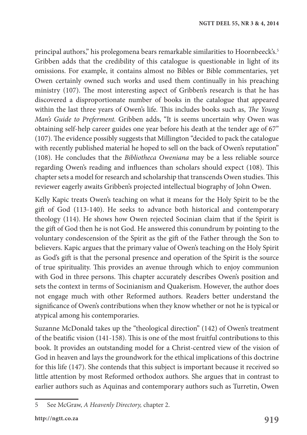principal authors," his prolegomena bears remarkable similarities to Hoornbeeck's.5 Gribben adds that the credibility of this catalogue is questionable in light of its omissions. For example, it contains almost no Bibles or Bible commentaries, yet Owen certainly owned such works and used them continually in his preaching ministry (107). The most interesting aspect of Gribben's research is that he has discovered a disproportionate number of books in the catalogue that appeared within the last three years of Owen's life. This includes books such as, *The Young Man's Guide to Preferment.* Gribben adds, "It is seems uncertain why Owen was obtaining self-help career guides one year before his death at the tender age of 67" (107). The evidence possibly suggests that Millington "decided to pack the catalogue with recently published material he hoped to sell on the back of Owen's reputation" (108). He concludes that the *Bibliotheca Oweniana* may be a less reliable source regarding Owen's reading and influences than scholars should expect (108). This chapter sets a model for research and scholarship that transcends Owen studies. This reviewer eagerly awaits Gribben's projected intellectual biography of John Owen.

Kelly Kapic treats Owen's teaching on what it means for the Holy Spirit to be the gift of God (113-140). He seeks to advance both historical and contemporary theology (114). He shows how Owen rejected Socinian claim that if the Spirit is the gift of God then he is not God. He answered this conundrum by pointing to the voluntary condescension of the Spirit as the gift of the Father through the Son to believers. Kapic argues that the primary value of Owen's teaching on the Holy Spirit as God's gift is that the personal presence and operation of the Spirit is the source of true spirituality. This provides an avenue through which to enjoy communion with God in three persons. This chapter accurately describes Owen's position and sets the context in terms of Socinianism and Quakerism. However, the author does not engage much with other Reformed authors. Readers better understand the significance of Owen's contributions when they know whether or not he is typical or atypical among his contemporaries.

Suzanne McDonald takes up the "theological direction" (142) of Owen's treatment of the beatific vision (141-158). This is one of the most fruitful contributions to this book. It provides an outstanding model for a Christ-centred view of the vision of God in heaven and lays the groundwork for the ethical implications of this doctrine for this life (147). She contends that this subject is important because it received so little attention by most Reformed orthodox authors. She argues that in contrast to earlier authors such as Aquinas and contemporary authors such as Turretin, Owen

<sup>5</sup> See McGraw, *A Heavenly Directory,* chapter 2.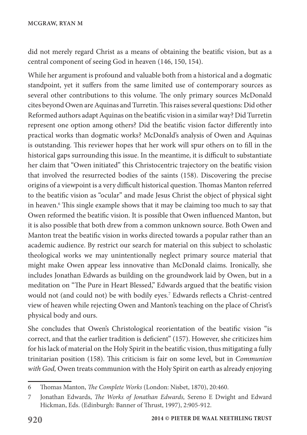did not merely regard Christ as a means of obtaining the beatific vision, but as a central component of seeing God in heaven (146, 150, 154).

While her argument is profound and valuable both from a historical and a dogmatic standpoint, yet it suffers from the same limited use of contemporary sources as several other contributions to this volume. The only primary sources McDonald cites beyond Owen are Aquinas and Turretin. This raises several questions: Did other Reformed authors adapt Aquinas on the beatific vision in a similar way? Did Turretin represent one option among others? Did the beatific vision factor differently into practical works than dogmatic works? McDonald's analysis of Owen and Aquinas is outstanding. This reviewer hopes that her work will spur others on to fill in the historical gaps surrounding this issue. In the meantime, it is difficult to substantiate her claim that "Owen initiated" this Christocentric trajectory on the beatific vision that involved the resurrected bodies of the saints (158). Discovering the precise origins of a viewpoint is a very difficult historical question. Thomas Manton referred to the beatific vision as "ocular" and made Jesus Christ the object of physical sight in heaven.6 This single example shows that it may be claiming too much to say that Owen reformed the beatific vision. It is possible that Owen influenced Manton, but it is also possible that both drew from a common unknown source. Both Owen and Manton treat the beatific vision in works directed towards a popular rather than an academic audience. By restrict our search for material on this subject to scholastic theological works we may unintentionally neglect primary source material that might make Owen appear less innovative than McDonald claims. Ironically, she includes Jonathan Edwards as building on the groundwork laid by Owen, but in a meditation on "The Pure in Heart Blessed," Edwards argued that the beatific vision would not (and could not) be with bodily eyes.<sup>7</sup> Edwards reflects a Christ-centred view of heaven while rejecting Owen and Manton's teaching on the place of Christ's physical body and ours.

She concludes that Owen's Christological reorientation of the beatific vision "is correct, and that the earlier tradition is deficient" (157). However, she criticizes him for his lack of material on the Holy Spirit in the beatific vision, thus mitigating a fully trinitarian position (158). This criticism is fair on some level, but in *Communion with God,* Owen treats communion with the Holy Spirit on earth as already enjoying

<sup>6</sup> Thomas Manton, *The Complete Works* (London: Nisbet, 1870), 20:460.

<sup>7</sup> Jonathan Edwards, *The Works of Jonathan Edwards,* Sereno E Dwight and Edward Hickman, Eds. (Edinburgh: Banner of Thrust, 1997), 2:905-912.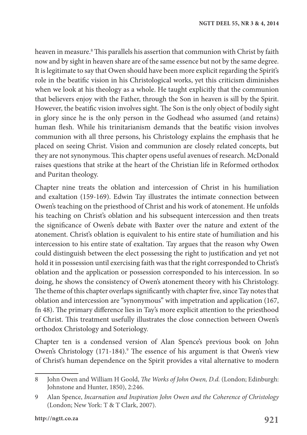heaven in measure.8 This parallels his assertion that communion with Christ by faith now and by sight in heaven share are of the same essence but not by the same degree. It is legitimate to say that Owen should have been more explicit regarding the Spirit's role in the beatific vision in his Christological works, yet this criticism diminishes when we look at his theology as a whole. He taught explicitly that the communion that believers enjoy with the Father, through the Son in heaven is sill by the Spirit. However, the beatific vision involves sight. The Son is the only object of bodily sight in glory since he is the only person in the Godhead who assumed (and retains) human flesh. While his trinitarianism demands that the beatific vision involves communion with all three persons, his Christology explains the emphasis that he placed on seeing Christ. Vision and communion are closely related concepts, but they are not synonymous. This chapter opens useful avenues of research. McDonald raises questions that strike at the heart of the Christian life in Reformed orthodox and Puritan theology.

Chapter nine treats the oblation and intercession of Christ in his humiliation and exaltation (159-169). Edwin Tay illustrates the intimate connection between Owen's teaching on the priesthood of Christ and his work of atonement. He unfolds his teaching on Christ's oblation and his subsequent intercession and then treats the significance of Owen's debate with Baxter over the nature and extent of the atonement. Christ's oblation is equivalent to his entire state of humiliation and his intercession to his entire state of exaltation. Tay argues that the reason why Owen could distinguish between the elect possessing the right to justification and yet not hold it in possession until exercising faith was that the right corresponded to Christ's oblation and the application or possession corresponded to his intercession. In so doing, he shows the consistency of Owen's atonement theory with his Christology. The theme of this chapter overlaps significantly with chapter five, since Tay notes that oblation and intercession are "synonymous" with impetration and application (167, fn 48). The primary difference lies in Tay's more explicit attention to the priesthood of Christ. This treatment usefully illustrates the close connection between Owen's orthodox Christology and Soteriology.

Chapter ten is a condensed version of Alan Spence's previous book on John Owen's Christology (171-184).<sup>9</sup> The essence of his argument is that Owen's view of Christ's human dependence on the Spirit provides a vital alternative to modern

<sup>8</sup> John Owen and William H Goold, *The Works of John Owen, D.d.* (London; Edinburgh: Johnstone and Hunter, 1850), 2:246.

<sup>9</sup> Alan Spence, *Incarnation and Inspiration John Owen and the Coherence of Christology* (London; New York: T & T Clark, 2007).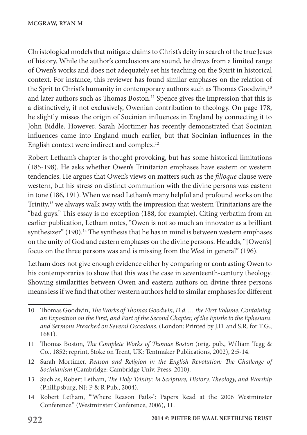Christological models that mitigate claims to Christ's deity in search of the true Jesus of history. While the author's conclusions are sound, he draws from a limited range of Owen's works and does not adequately set his teaching on the Spirit in historical context. For instance, this reviewer has found similar emphases on the relation of the Sprit to Christ's humanity in contemporary authors such as Thomas Goodwin,<sup>10</sup> and later authors such as Thomas Boston.<sup>11</sup> Spence gives the impression that this is a distinctively, if not exclusively, Owenian contribution to theology. On page 178, he slightly misses the origin of Socinian influences in England by connecting it to John Biddle. However, Sarah Mortimer has recently demonstrated that Socinian influences came into England much earlier, but that Socinian influences in the English context were indirect and complex.12

Robert Letham's chapter is thought provoking, but has some historical limitations (185-198). He asks whether Owen's Trinitarian emphases have eastern or western tendencies. He argues that Owen's views on matters such as the *filioque* clause were western, but his stress on distinct communion with the divine persons was eastern in tone (186, 191). When we read Letham's many helpful and profound works on the Trinity,13 we always walk away with the impression that western Trinitarians are the "bad guys." This essay is no exception (188, for example). Citing verbatim from an earlier publication, Letham notes, "Owen is not so much an innovator as a brilliant synthesizer" (190).<sup>14</sup> The synthesis that he has in mind is between western emphases on the unity of God and eastern emphases on the divine persons. He adds, "[Owen's] focus on the three persons was and is missing from the West in general" (196).

Letham does not give enough evidence either by comparing or contrasting Owen to his contemporaries to show that this was the case in seventeenth-century theology. Showing similarities between Owen and eastern authors on divine three persons means less if we find that other western authors held to similar emphases for different

<sup>10</sup> Thomas Goodwin, *The Works of Thomas Goodwin, D.d. … the First Volume. Containing, an Exposition on the First, and Part of the Second Chapter, of the Epistle to the Ephesians. and Sermons Preached on Several Occasions.* (London: Printed by J.D. and S.R. for T.G., 1681).

<sup>11</sup> Thomas Boston, *The Complete Works of Thomas Boston* (orig. pub., William Tegg & Co., 1852; reprint, Stoke on Trent, UK: Tentmaker Publications, 2002), 2:5-14.

<sup>12</sup> Sarah Mortimer, *Reason and Religion in the English Revolution: The Challenge of Socinianism* (Cambridge: Cambridge Univ. Press, 2010).

<sup>13</sup> Such as, Robert Letham, *The Holy Trinity: In Scripture, History, Theology, and Worship* (Phillipsburg, NJ: P & R Pub., 2004).

<sup>14</sup> Robert Letham, "'Where Reason Fails-': Papers Read at the 2006 Westminster Conference." (Westminster Conference, 2006), 11.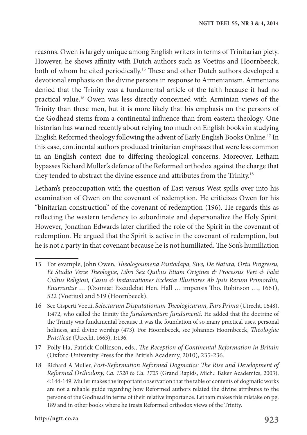reasons. Owen is largely unique among English writers in terms of Trinitarian piety. However, he shows affinity with Dutch authors such as Voetius and Hoornbeeck, both of whom he cited periodically.15 These and other Dutch authors developed a devotional emphasis on the divine persons in response to Armenianism. Armenians denied that the Trinity was a fundamental article of the faith because it had no practical value.16 Owen was less directly concerned with Arminian views of the Trinity than these men, but it is more likely that his emphasis on the persons of the Godhead stems from a continental influence than from eastern theology. One historian has warned recently about relying too much on English books in studying English Reformed theology following the advent of Early English Books Online.17 In this case, continental authors produced trinitarian emphases that were less common in an English context due to differing theological concerns. Moreover, Letham bypasses Richard Muller's defence of the Reformed orthodox against the charge that they tended to abstract the divine essence and attributes from the Trinity.<sup>18</sup>

Letham's preoccupation with the question of East versus West spills over into his examination of Owen on the covenant of redemption. He criticizes Owen for his "binitarian construction" of the covenant of redemption (196). He regards this as reflecting the western tendency to subordinate and depersonalize the Holy Spirit. However, Jonathan Edwards later clarified the role of the Spirit in the covenant of redemption. He argued that the Spirit is active in the covenant of redemption, but he is not a party in that covenant because he is not humiliated. The Son's humiliation

- 17 Polly Ha, Patrick Collinson, eds., *The Reception of Continental Reformation in Britain* (Oxford University Press for the British Academy, 2010), 235-236.
- 18 Richard A Muller, *Post-Reformation Reformed Dogmatics: The Rise and Development of Reformed Orthodoxy, Ca. 1520 to Ca. 1725* (Grand Rapids, Mich.: Baker Academics, 2003), 4:144-149. Muller makes the important observation that the table of contents of dogmatic works are not a reliable guide regarding how Reformed authors related the divine attributes to the persons of the Godhead in terms of their relative importance. Letham makes this mistake on pg. 189 and in other books where he treats Reformed orthodox views of the Trinity.

<sup>15</sup> For example, John Owen, *Theologoumena Pantodapa, Sive, De Natura, Ortu Progressu, Et Studio Veræ Theologiæ, Libri Sex Quibus Etiam Origines & Processus Veri & Falsi Cultus Religiosi, Casus & Instaurationes Ecclesiæ Illustiores Ab Ipsis Rerum Primordiis, Enarrantur …* (Oxoniæ: Excudebat Hen. Hall … impensis Tho. Robinson …, 1661), 522 (Voetius) and 519 (Hoornbeeck).

<sup>16</sup> See Gisperti Voetii, *Selectarum Disputationum Theologicarum, Pars Prima* (Utrecht, 1648), 1:472, who called the Trinity the *fundamentum fundamenti.* He added that the doctrine of the Trinity was fundamental because it was the foundation of so many practical uses, personal holiness, and divine worship (473). For Hoornbeeck, see Johannes Hoornbeeck, *Theologiae Practicae* (Utrecht, 1663), 1:136.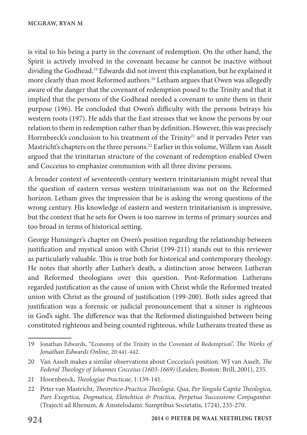is vital to his being a party in the covenant of redemption. On the other hand, the Spirit is actively involved in the covenant because he cannot be inactive without dividing the Godhead.19 Edwards did not invent this explanation, but he explained it more clearly than most Reformed authors.<sup>20</sup> Letham argues that Owen was allegedly aware of the danger that the covenant of redemption posed to the Trinity and that it implied that the persons of the Godhead needed a covenant to unite them in their purpose (196). He concluded that Owen's difficulty with the persons betrays his western roots (197). He adds that the East stresses that we know the persons by our relation to them in redemption rather than by definition. However, this was precisely Horrnbeeck's conclusion to his treatment of the Trinity<sup>21</sup> and it pervades Peter van Mastricht's chapters on the three persons.22 Earlier in this volume, Willem van Asselt argued that the trinitarian structure of the covenant of redemption enabled Owen and Cocceius to emphasize communion with all three divine persons.

A broader context of seventeenth-century western trinitarianism might reveal that the question of eastern versus western trinitarianism was not on the Reformed horizon. Letham gives the impression that he is asking the wrong questions of the wrong century. His knowledge of eastern and western trinitarianism is impressive, but the context that he sets for Owen is too narrow in terms of primary sources and too broad in terms of historical setting.

George Hunsinger's chapter on Owen's position regarding the relationship between justification and mystical union with Christ (199-211) stands out to this reviewer as particularly valuable. This is true both for historical and contemporary theology. He notes that shortly after Luther's death, a distinction arose between Lutheran and Reformed theologians over this question. Post-Reformation Lutherans regarded justification as the cause of union with Christ while the Reformed treated union with Christ as the ground of justification (199-200). Both sides agreed that justification was a forensic or judicial pronouncement that a sinner is righteous in God's sight. The difference was that the Reformed distinguished between being constituted righteous and being counted righteous, while Lutherans treated these as

<sup>19</sup> Jonathan Edwards, "Economy of the Trinity in the Covenant of Redemption", *The Works of Jonathan Edwards Online,* 20:441-442.

<sup>20</sup> Van Asselt makes a similar observations about Cocceius's position. WJ van Asselt, *The Federal Theology of Johannes Cocceius (1603-1669)* (Leiden; Boston: Brill, 2001), 235.

<sup>21</sup> Hoornbeeck, *Theologiae Practicae,* 1:139-141.

<sup>22</sup> Peter van Mastricht, *Theoretico-Practica Theologia. Qua, Per Singula Capita Theologica, Pars Exegetica, Dogmatica, Elenchtica & Practica, Perpetua Successione Conjugantur.* (Trajecti ad Rhenum, & Amstelodami: Sumptibus Societatis, 1724), 235-270.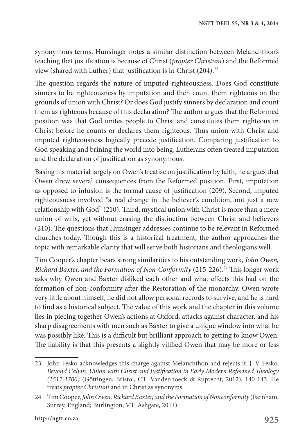synonymous terms. Hunsinger notes a similar distinction between Melanchthon's teaching that justification is because of Christ (*propter Christum*) and the Reformed view (shared with Luther) that justification is in Christ (204).23

The question regards the nature of imputed righteousness. Does God constitute sinners to be righteousness by imputation and then count them righteous on the grounds of union with Christ? Or does God justify sinners by declaration and count them as righteous because of this declaration? The author argues that the Reformed position was that God unites people to Christ and constitutes them righteous in Christ before he counts or declares them righteous. Thus union with Christ and imputed righteousness logically precede justification. Comparing justification to God speaking and brining the world into being, Lutherans often treated imputation and the declaration of justification as synonymous.

Basing his material largely on Owen's treatise on justification by faith, he argues that Owen drew several consequences from the Reformed position. First, imputation as opposed to infusion is the formal cause of justification (209). Second, imputed righteousness involved "a real change in the believer's condition, not just a new relationship with God" (210). Third, mystical union with Christ is more than a mere union of wills, yet without erasing the distinction between Christ and believers (210). The questions that Hunsinger addresses continue to be relevant in Reformed churches today. Though this is a historical treatment, the author approaches the topic with remarkable clarity that will serve both historians and theologians well.

Tim Cooper's chapter bears strong similarities to his outstanding work, *John Owen, Richard Baxter, and the Formation of Non-Conformity* (215-226).24 This longer work asks why Owen and Baxter disliked each other and what effects this had on the formation of non-conformity after the Restoration of the monarchy. Owen wrote very little about himself, he did not allow personal records to survive, and he is hard to find as a historical subject. The value of this work and the chapter in this volume lies in piecing together Owen's actions at Oxford, attacks against character, and his sharp disagreements with men such as Baxter to give a unique window into what he was possibly like. This is a difficult but brilliant approach to getting to know Owen. The liability is that this presents a slightly vilified Owen that may be more or less

<sup>23</sup> John Fesko acknowledges this charge against Melanchthon and rejects it. J. V Fesko, *Beyond Calvin: Union with Christ and Justification in Early Modern Reformed Theology (1517-1700)* (Göttingen; Bristol, CT: Vandenhoeck & Ruprecht, 2012), 140-143. He treats *propter Christum* and in Christ as synonyms.

<sup>24</sup> Tim Cooper, *JohnOwen,RichardBaxter, and the Formation ofNonconformity* (Farnham, Surrey, England; Burlington, VT: Ashgate, 2011).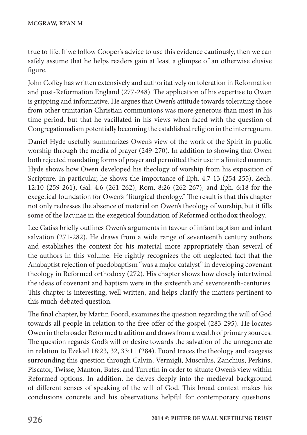true to life. If we follow Cooper's advice to use this evidence cautiously, then we can safely assume that he helps readers gain at least a glimpse of an otherwise elusive figure.

John Coffey has written extensively and authoritatively on toleration in Reformation and post-Reformation England (277-248). The application of his expertise to Owen is gripping and informative. He argues that Owen's attitude towards tolerating those from other trinitarian Christian communions was more generous than most in his time period, but that he vacillated in his views when faced with the question of Congregationalism potentially becoming the established religion in the interregnum.

Daniel Hyde usefully summarizes Owen's view of the work of the Spirit in public worship through the media of prayer (249-270). In addition to showing that Owen both rejected mandating forms of prayer and permitted their use in a limited manner, Hyde shows how Owen developed his theology of worship from his exposition of Scripture. In particular, he shows the importance of Eph. 4:7-13 (254-255), Zech. 12:10 (259-261), Gal. 4:6 (261-262), Rom. 8:26 (262-267), and Eph. 6:18 for the exegetical foundation for Owen's "liturgical theology." The result is that this chapter not only redresses the absence of material on Owen's theology of worship, but it fills some of the lacunae in the exegetical foundation of Reformed orthodox theology.

Lee Gatiss briefly outlines Owen's arguments in favour of infant baptism and infant salvation (271-282). He draws from a wide range of seventeenth century authors and establishes the context for his material more appropriately than several of the authors in this volume. He rightly recognizes the oft-neglected fact that the Anabaptist rejection of paedobaptism "was a major catalyst" in developing covenant theology in Reformed orthodoxy (272). His chapter shows how closely intertwined the ideas of covenant and baptism were in the sixteenth and seventeenth-centuries. This chapter is interesting, well written, and helps clarify the matters pertinent to this much-debated question.

The final chapter, by Martin Foord, examines the question regarding the will of God towards all people in relation to the free offer of the gospel (283-295). He locates Owen in the broader Reformed tradition and draws from a wealth of primary sources. The question regards God's will or desire towards the salvation of the unregenerate in relation to Ezekiel 18:23, 32, 33:11 (284). Foord traces the theology and exegesis surrounding this question through Calvin, Vermigli, Musculus, Zanchius, Perkins, Piscator, Twisse, Manton, Bates, and Turretin in order to situate Owen's view within Reformed options. In addition, he delves deeply into the medieval background of different senses of speaking of the will of God. This broad context makes his conclusions concrete and his observations helpful for contemporary questions.